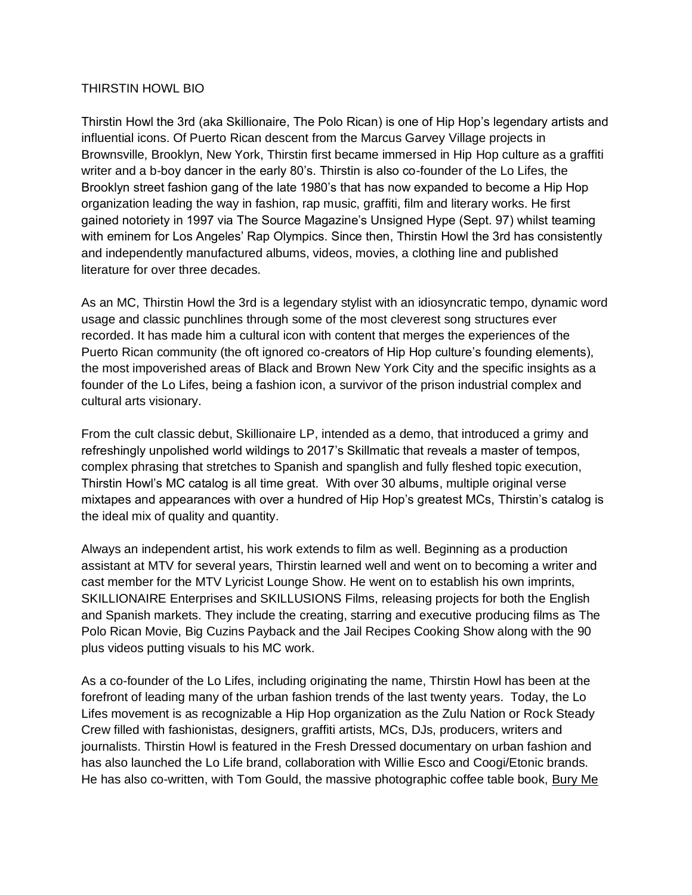## THIRSTIN HOWL BIO

Thirstin Howl the 3rd (aka Skillionaire, The Polo Rican) is one of Hip Hop's legendary artists and influential icons. Of Puerto Rican descent from the Marcus Garvey Village projects in Brownsville, Brooklyn, New York, Thirstin first became immersed in Hip Hop culture as a graffiti writer and a b-boy dancer in the early 80's. Thirstin is also co-founder of the Lo Lifes, the Brooklyn street fashion gang of the late 1980's that has now expanded to become a Hip Hop organization leading the way in fashion, rap music, graffiti, film and literary works. He first gained notoriety in 1997 via The Source Magazine's Unsigned Hype (Sept. 97) whilst teaming with eminem for Los Angeles' Rap Olympics. Since then, Thirstin Howl the 3rd has consistently and independently manufactured albums, videos, movies, a clothing line and published literature for over three decades.

As an MC, Thirstin Howl the 3rd is a legendary stylist with an idiosyncratic tempo, dynamic word usage and classic punchlines through some of the most cleverest song structures ever recorded. It has made him a cultural icon with content that merges the experiences of the Puerto Rican community (the oft ignored co-creators of Hip Hop culture's founding elements), the most impoverished areas of Black and Brown New York City and the specific insights as a founder of the Lo Lifes, being a fashion icon, a survivor of the prison industrial complex and cultural arts visionary.

From the cult classic debut, Skillionaire LP, intended as a demo, that introduced a grimy and refreshingly unpolished world wildings to 2017's Skillmatic that reveals a master of tempos, complex phrasing that stretches to Spanish and spanglish and fully fleshed topic execution, Thirstin Howl's MC catalog is all time great. With over 30 albums, multiple original verse mixtapes and appearances with over a hundred of Hip Hop's greatest MCs, Thirstin's catalog is the ideal mix of quality and quantity.

Always an independent artist, his work extends to film as well. Beginning as a production assistant at MTV for several years, Thirstin learned well and went on to becoming a writer and cast member for the MTV Lyricist Lounge Show. He went on to establish his own imprints, SKILLIONAIRE Enterprises and SKILLUSIONS Films, releasing projects for both the English and Spanish markets. They include the creating, starring and executive producing films as The Polo Rican Movie, Big Cuzins Payback and the Jail Recipes Cooking Show along with the 90 plus videos putting visuals to his MC work.

As a co-founder of the Lo Lifes, including originating the name, Thirstin Howl has been at the forefront of leading many of the urban fashion trends of the last twenty years. Today, the Lo Lifes movement is as recognizable a Hip Hop organization as the Zulu Nation or Rock Steady Crew filled with fashionistas, designers, graffiti artists, MCs, DJs, producers, writers and journalists. Thirstin Howl is featured in the Fresh Dressed documentary on urban fashion and has also launched the Lo Life brand, collaboration with Willie Esco and Coogi/Etonic brands. He has also co-written, with Tom Gould, the massive photographic coffee table book, Bury Me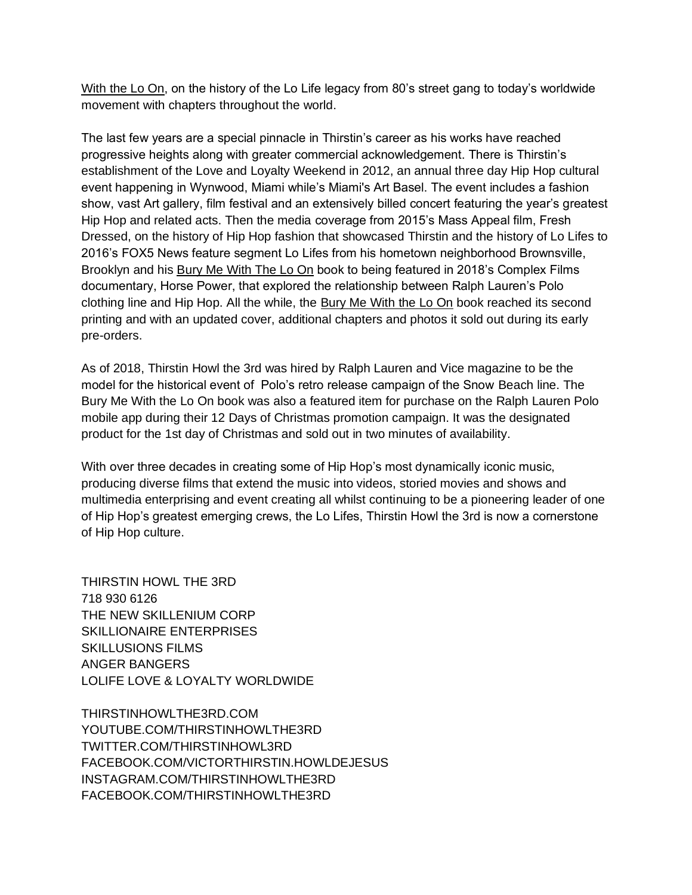With the Lo On, on the history of the Lo Life legacy from 80's street gang to today's worldwide movement with chapters throughout the world.

The last few years are a special pinnacle in Thirstin's career as his works have reached progressive heights along with greater commercial acknowledgement. There is Thirstin's establishment of the Love and Loyalty Weekend in 2012, an annual three day Hip Hop cultural event happening in Wynwood, Miami while's Miami's Art Basel. The event includes a fashion show, vast Art gallery, film festival and an extensively billed concert featuring the year's greatest Hip Hop and related acts. Then the media coverage from 2015's Mass Appeal film, Fresh Dressed, on the history of Hip Hop fashion that showcased Thirstin and the history of Lo Lifes to 2016's FOX5 News feature segment Lo Lifes from his hometown neighborhood Brownsville, Brooklyn and his Bury Me With The Lo On book to being featured in 2018's Complex Films documentary, Horse Power, that explored the relationship between Ralph Lauren's Polo clothing line and Hip Hop. All the while, the Bury Me With the Lo On book reached its second printing and with an updated cover, additional chapters and photos it sold out during its early pre-orders.

As of 2018, Thirstin Howl the 3rd was hired by Ralph Lauren and Vice magazine to be the model for the historical event of Polo's retro release campaign of the Snow Beach line. The Bury Me With the Lo On book was also a featured item for purchase on the Ralph Lauren Polo mobile app during their 12 Days of Christmas promotion campaign. It was the designated product for the 1st day of Christmas and sold out in two minutes of availability.

With over three decades in creating some of Hip Hop's most dynamically iconic music, producing diverse films that extend the music into videos, storied movies and shows and multimedia enterprising and event creating all whilst continuing to be a pioneering leader of one of Hip Hop's greatest emerging crews, the Lo Lifes, Thirstin Howl the 3rd is now a cornerstone of Hip Hop culture.

THIRSTIN HOWL THE 3RD 718 930 6126 THE NEW SKILLENIUM CORP SKILLIONAIRE ENTERPRISES SKILLUSIONS FILMS ANGER BANGERS LOLIFE LOVE & LOYALTY WORLDWIDE

THIRSTINHOWLTHE3RD.COM YOUTUBE.COM/THIRSTINHOWLTHE3RD TWITTER.COM/THIRSTINHOWL3RD FACEBOOK.COM/VICTORTHIRSTIN.HOWLDEJESUS INSTAGRAM.COM/THIRSTINHOWLTHE3RD FACEBOOK.COM/THIRSTINHOWLTHE3RD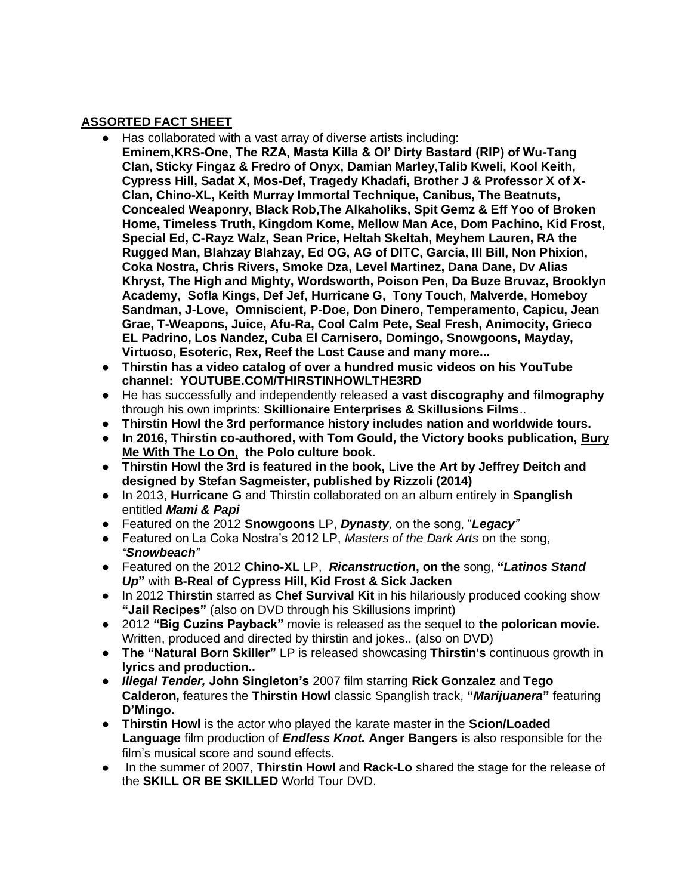## **ASSORTED FACT SHEET**

- Has collaborated with a vast array of diverse artists including: **Eminem,KRS-One, The RZA, Masta Killa & Ol' Dirty Bastard (RIP) of Wu-Tang Clan, Sticky Fingaz & Fredro of Onyx, Damian Marley,Talib Kweli, Kool Keith, Cypress Hill, Sadat X, Mos-Def, Tragedy Khadafi, Brother J & Professor X of X-Clan, Chino-XL, Keith Murray Immortal Technique, Canibus, The Beatnuts, Concealed Weaponry, Black Rob,The Alkaholiks, Spit Gemz & Eff Yoo of Broken Home, Timeless Truth, Kingdom Kome, Mellow Man Ace, Dom Pachino, Kid Frost, Special Ed, C-Rayz Walz, Sean Price, Heltah Skeltah, Meyhem Lauren, RA the Rugged Man, Blahzay Blahzay, Ed OG, AG of DITC, Garcia, Ill Bill, Non Phixion, Coka Nostra, Chris Rivers, Smoke Dza, Level Martinez, Dana Dane, Dv Alias Khryst, The High and Mighty, Wordsworth, Poison Pen, Da Buze Bruvaz, Brooklyn Academy, Sofla Kings, Def Jef, Hurricane G, Tony Touch, Malverde, Homeboy Sandman, J-Love, Omniscient, P-Doe, Don Dinero, Temperamento, Capicu, Jean Grae, T-Weapons, Juice, Afu-Ra, Cool Calm Pete, Seal Fresh, Animocity, Grieco EL Padrino, Los Nandez, Cuba El Carnisero, Domingo, Snowgoons, Mayday, Virtuoso, Esoteric, Rex, Reef the Lost Cause and many more...**
- **Thirstin has a video catalog of over a hundred music videos on his YouTube channel: YOUTUBE.COM/THIRSTINHOWLTHE3RD**
- He has successfully and independently released **a vast discography and filmography** through his own imprints: **Skillionaire Enterprises & Skillusions Films**..
- **Thirstin Howl the 3rd performance history includes nation and worldwide tours.**
- **In 2016, Thirstin co-authored, with Tom Gould, the Victory books publication, Bury Me With The Lo On, the Polo culture book.**
- **Thirstin Howl the 3rd is featured in the book, Live the Art by Jeffrey Deitch and designed by Stefan Sagmeister, published by Rizzoli (2014)**
- In 2013, **Hurricane G** and Thirstin collaborated on an album entirely in **Spanglish** entitled *Mami & Papi*
- Featured on the 2012 **Snowgoons** LP, *Dynasty,* on the song, "*Legacy"*
- Featured on La Coka Nostra's 2012 LP, *Masters of the Dark Arts* on the song, *"Snowbeach"*
- Featured on the 2012 **Chino-XL** LP, *Ricanstruction***, on the** song, **"***Latinos Stand Up***"** with **B-Real of Cypress Hill, Kid Frost & Sick Jacken**
- In 2012 **Thirstin** starred as **Chef Survival Kit** in his hilariously produced cooking show **"Jail Recipes"** (also on DVD through his Skillusions imprint)
- 2012 **"Big Cuzins Payback"** movie is released as the sequel to **the polorican movie.** Written, produced and directed by thirstin and jokes.. (also on DVD)
- **The "Natural Born Skiller"** LP is released showcasing **Thirstin's** continuous growth in **lyrics and production..**
- *Illegal Tender,* **John Singleton's** 2007 film starring **Rick Gonzalez** and **Tego Calderon,** features the **Thirstin Howl** classic Spanglish track, **"***Marijuanera***"** featuring **D'Mingo.**
- **Thirstin Howl** is the actor who played the karate master in the **Scion/Loaded Language** film production of *Endless Knot.* **Anger Bangers** is also responsible for the film's musical score and sound effects.
- In the summer of 2007, **Thirstin Howl** and **Rack-Lo** shared the stage for the release of the **SKILL OR BE SKILLED** World Tour DVD.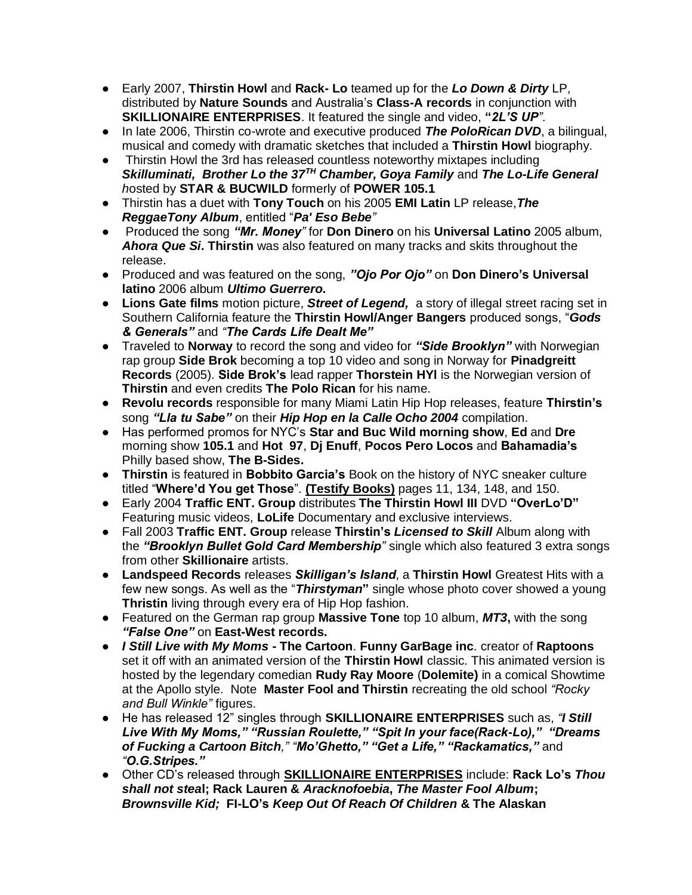- Early 2007, **Thirstin Howl** and **Rack- Lo** teamed up for the *Lo Down & Dirty* LP, distributed by **Nature Sounds** and Australia's **Class-A records** in conjunction with **SKILLIONAIRE ENTERPRISES**. It featured the single and video, **"***2L'S UP".*
- In late 2006, Thirstin co-wrote and executive produced *The PoloRican DVD*, a bilingual, musical and comedy with dramatic sketches that included a **Thirstin Howl** biography.
- Thirstin Howl the 3rd has released countless noteworthy mixtapes including *Skilluminati, Brother Lo the 37TH Chamber, Goya Family* and *The Lo-Life General h*osted by **STAR & BUCWILD** formerly of **POWER 105.1**
- Thirstin has a duet with **Tony Touch** on his 2005 **EMI Latin** LP release,*The ReggaeTony Album*, entitled "*Pa' Eso Bebe"*
- Produced the song *"Mr. Money"* for **Don Dinero** on his **Universal Latino** 2005 album, *Ahora Que Si***. Thirstin** was also featured on many tracks and skits throughout the release.
- Produced and was featured on the song, *"Ojo Por Ojo"* on **Don Dinero's Universal latino** 2006 album *Ultimo Guerrero***.**
- **Lions Gate films** motion picture, *Street of Legend,* a story of illegal street racing set in Southern California feature the **Thirstin Howl/Anger Bangers** produced songs, "*Gods & Generals"* and *"The Cards Life Dealt Me"*
- Traveled to **Norway** to record the song and video for *"Side Brooklyn"* with Norwegian rap group **Side Brok** becoming a top 10 video and song in Norway for **Pinadgreitt Records** (2005). **Side Brok's** lead rapper **Thorstein HYl** is the Norwegian version of **Thirstin** and even credits **The Polo Rican** for his name.
- **Revolu records** responsible for many Miami Latin Hip Hop releases, feature **Thirstin's** song *"Lla tu Sabe"* on their *Hip Hop en la Calle Ocho 2004* compilation.
- Has performed promos for NYC's **Star and Buc Wild morning show**, **Ed** and **Dre** morning show **105.1** and **Hot 97**, **Dj Enuff**, **Pocos Pero Locos** and **Bahamadia's** Philly based show, **The B-Sides.**
- **Thirstin** is featured in **Bobbito Garcia's** Book on the history of NYC sneaker culture titled "**Where'd You get Those**". **(Testify Books)** pages 11, 134, 148, and 150.
- Early 2004 **Traffic ENT. Group** distributes **The Thirstin Howl III** DVD **"OverLo'D"** Featuring music videos, **LoLife** Documentary and exclusive interviews.
- Fall 2003 **Traffic ENT. Group** release **Thirstin's** *Licensed to Skill* Album along with the *"Brooklyn Bullet Gold Card Membership"* single which also featured 3 extra songs from other **Skillionaire** artists.
- **Landspeed Records** releases *Skilligan's Island*, a **Thirstin Howl** Greatest Hits with a few new songs. As well as the "*Thirstyman***"** single whose photo cover showed a young **Thristin** living through every era of Hip Hop fashion.
- Featured on the German rap group **Massive Tone** top 10 album, *MT3***,** with the song *"False One"* on **East-West records.**
- *I Still Live with My Moms* **- The Cartoon**. **Funny GarBage inc**. creator of **Raptoons** set it off with an animated version of the **Thirstin Howl** classic. This animated version is hosted by the legendary comedian **Rudy Ray Moore** (**Dolemite)** in a comical Showtime at the Apollo style. Note **Master Fool and Thirstin** recreating the old school *"Rocky and Bull Winkle"* figures.
- He has released 12" singles through **SKILLIONAIRE ENTERPRISES** such as, *"I Still Live With My Moms," "Russian Roulette," "Spit In your face(Rack-Lo)," "Dreams of Fucking a Cartoon Bitch," "Mo'Ghetto," "Get a Life," "Rackamatics,"* and *"O.G.Stripes."*
- Other CD's released through **SKILLIONAIRE ENTERPRISES** include: **Rack Lo's** *Thou shall not stea***l; Rack Lauren &** *Aracknofoebia***,** *The Master Fool Album***;**  *Brownsville Kid;* **FI-LO's** *Keep Out Of Reach Of Children* **& The Alaskan**